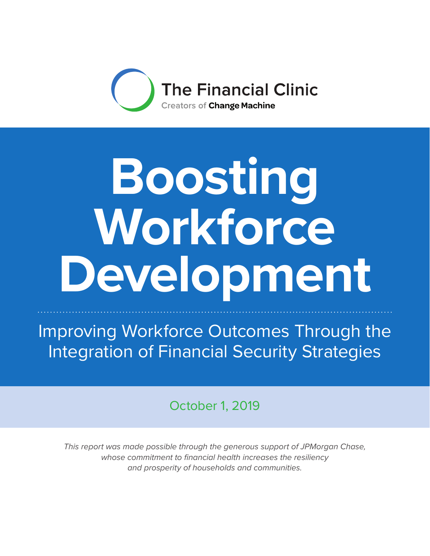

# **Boosting Workforce Development**

Improving Workforce Outcomes Through the Integration of Financial Security Strategies

October 1, 2019

*This report was made possible through the generous support of JPMorgan Chase, whose commitment to financial health increases the resiliency and prosperity of households and communities.*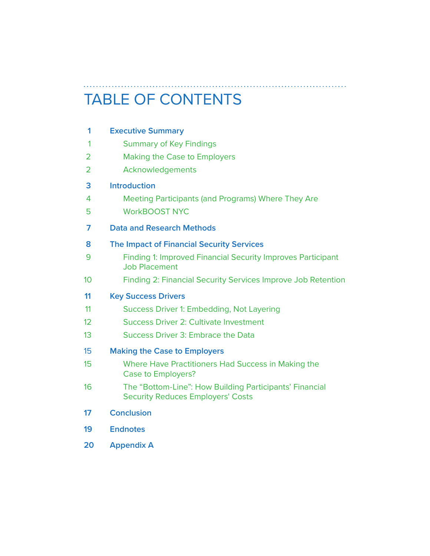# TABLE OF CONTENTS

. . . . . . . .

| <b>Summary of Key Findings</b>                                                                      |
|-----------------------------------------------------------------------------------------------------|
|                                                                                                     |
| <b>Making the Case to Employers</b>                                                                 |
| Acknowledgements                                                                                    |
| <b>Introduction</b>                                                                                 |
| Meeting Participants (and Programs) Where They Are                                                  |
| <b>WorkBOOST NYC</b>                                                                                |
| <b>Data and Research Methods</b>                                                                    |
| <b>The Impact of Financial Security Services</b>                                                    |
| <b>Finding 1: Improved Financial Security Improves Participant</b><br><b>Job Placement</b>          |
| Finding 2: Financial Security Services Improve Job Retention                                        |
| <b>Key Success Drivers</b>                                                                          |
| Success Driver 1: Embedding, Not Layering                                                           |
| <b>Success Driver 2: Cultivate Investment</b>                                                       |
| <b>Success Driver 3: Embrace the Data</b>                                                           |
| <b>Making the Case to Employers</b>                                                                 |
| Where Have Practitioners Had Success in Making the<br><b>Case to Employers?</b>                     |
| The "Bottom-Line": How Building Participants' Financial<br><b>Security Reduces Employers' Costs</b> |
| <b>Conclusion</b>                                                                                   |
| <b>Endnotes</b>                                                                                     |
| <b>Appendix A</b>                                                                                   |
|                                                                                                     |

. **. . . . . . . . . .** .

 $\ddotsc$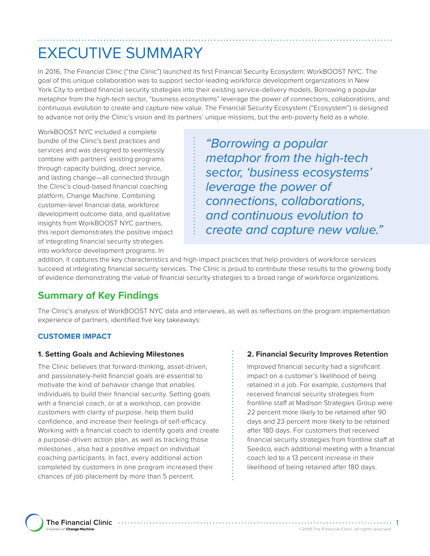# EXECUTIVE SUMMARY

In 2016, The Financial Clinic ("the Clinic") launched its first Financial Security Ecosystem: WorkBOOST NYC. The goal of this unique collaboration was to support sector-leading workforce development organizations in New York City to embed financial security strategies into their existing service-delivery models. Borrowing a popular metaphor from the high-tech sector, "business ecosystems" leverage the power of connections, collaborations, and continuous evolution to create and capture new value. The Financial Security Ecosystem ("Ecosystem") is designed to advance not only the Clinic's vision and its partners' unique missions, but the anti-poverty field as a whole.

WorkBOOST NYC included a complete bundle of the Clinic's best practices and services and was designed to seamlessly combine with partners' existing programs through capacity building, direct service, and lasting change—all connected through the Clinic's cloud-based financial coaching platform, Change Machine. Combining customer-level financial data, workforce development outcome data, and qualitative insights from WorkBOOST NYC partners, this report demonstrates the positive impact of integrating financial security strategies into workforce development programs. In

*"Borrowing a popular metaphor from the high-tech sector, 'business ecosystems' leverage the power of connections, collaborations, and continuous evolution to create and capture new value."*

addition, it captures the key characteristics and high-impact practices that help providers of workforce services succeed at integrating financial security services. The Clinic is proud to contribute these results to the growing body of evidence demonstrating the value of financial security strategies to a broad range of workforce organizations.

### **Summary of Key Findings**

The Clinic's analysis of WorkBOOST NYC data and interviews, as well as reflections on the program implementation experience of partners, identified five key takeaways:

### **CUSTOMER IMPACT**

### **1. Setting Goals and Achieving Milestones**

The Clinic believes that forward-thinking, asset-driven, and passionately-held financial goals are essential to motivate the kind of behavior change that enables individuals to build their financial security. Setting goals with a financial coach, or at a workshop, can provide customers with clarity of purpose, help them build confidence, and increase their feelings of self-efficacy. Working with a financial coach to identify goals and create a purpose-driven action plan, as well as tracking those milestones , also had a positive impact on individual coaching participants. In fact, every additional action completed by customers in one program increased their chances of job placement by more than 5 percent.

### **2. Financial Security Improves Retention**

Improved financial security had a significant impact on a customer's likelihood of being retained in a job. For example, customers that received financial security strategies from frontline staff at Madison Strategies Group were 22 percent more likely to be retained after 90 days and 23 percent more likely to be retained after 180 days. For customers that received financial security strategies from frontline staff at Seedco, each additional meeting with a financial coach led to a 13 percent increase in their likelihood of being retained after 180 days.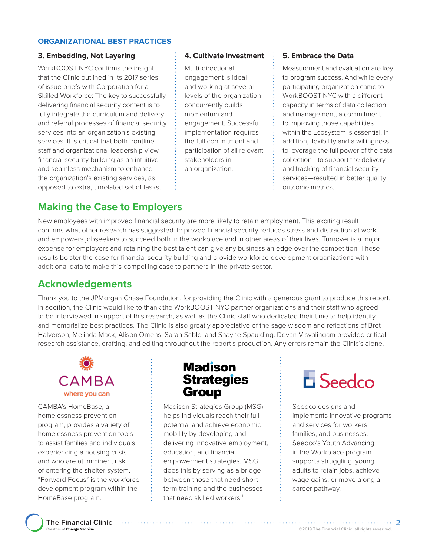### **ORGANIZATIONAL BEST PRACTICES**

### **3. Embedding, Not Layering**

WorkBOOST NYC confirms the insight that the Clinic outlined in its 2017 series of issue briefs with Corporation for a Skilled Workforce: The key to successfully delivering financial security content is to fully integrate the curriculum and delivery and referral processes of financial security services into an organization's existing services. It is critical that both frontline staff and organizational leadership view financial security building as an intuitive and seamless mechanism to enhance the organization's existing services, as opposed to extra, unrelated set of tasks.

### **4. Cultivate Investment**

Multi-directional engagement is ideal and working at several levels of the organization concurrently builds momentum and engagement. Successful implementation requires the full commitment and participation of all relevant stakeholders in an organization.

### **5. Embrace the Data**

Measurement and evaluation are key to program success. And while every participating organization came to WorkBOOST NYC with a different capacity in terms of data collection and management, a commitment to improving those capabilities within the Ecosystem is essential. In addition, flexibility and a willingness to leverage the full power of the data collection—to support the delivery and tracking of financial security services—resulted in better quality outcome metrics.

### **Making the Case to Employers**

New employees with improved financial security are more likely to retain employment. This exciting result confirms what other research has suggested: Improved financial security reduces stress and distraction at work and empowers jobseekers to succeed both in the workplace and in other areas of their lives. Turnover is a major expense for employers and retaining the best talent can give any business an edge over the competition. These results bolster the case for financial security building and provide workforce development organizations with additional data to make this compelling case to partners in the private sector.

### **Acknowledgements**

Thank you to the JPMorgan Chase Foundation. for providing the Clinic with a generous grant to produce this report. In addition, the Clinic would like to thank the WorkBOOST NYC partner organizations and their staff who agreed to be interviewed in support of this research, as well as the Clinic staff who dedicated their time to help identify and memorialize best practices. The Clinic is also greatly appreciative of the sage wisdom and reflections of Bret Halverson, Melinda Mack, Alison Omens, Sarah Sable, and Shayne Spaulding. Devan Visvalingam provided critical research assistance, drafting, and editing throughout the report's production. Any errors remain the Clinic's alone.



CAMBA's HomeBase, a homelessness prevention program, provides a variety of homelessness prevention tools to assist families and individuals experiencing a housing crisis and who are at imminent risk of entering the shelter system. "Forward Focus" is the workforce development program within the HomeBase program.

### **Madison Strategies Group**

Madison Strategies Group (MSG) helps individuals reach their full potential and achieve economic mobility by developing and delivering innovative employment, education, and financial empowerment strategies. MSG does this by serving as a bridge between those that need shortterm training and the businesses that need skilled workers.<sup>1</sup>



Seedco designs and implements innovative programs and services for workers, families, and businesses. Seedco's Youth Advancing in the Workplace program supports struggling, young adults to retain jobs, achieve wage gains, or move along a career pathway.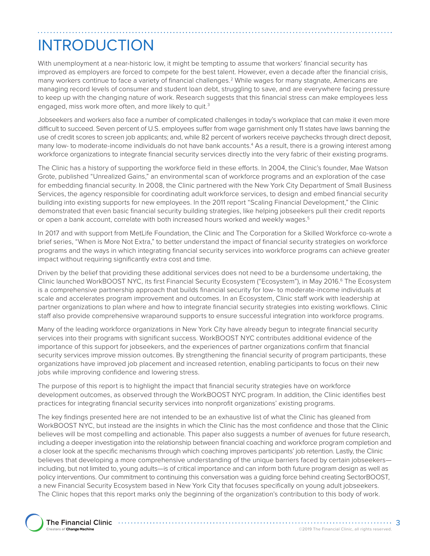# INTRODUCTION

With unemployment at a near-historic low, it might be tempting to assume that workers' financial security has improved as employers are forced to compete for the best talent. However, even a decade after the financial crisis, many workers continue to face a variety of financial challenges.2 While wages for many stagnate, Americans are managing record levels of consumer and student loan debt, struggling to save, and are everywhere facing pressure to keep up with the changing nature of work. Research suggests that this financial stress can make employees less engaged, miss work more often, and more likely to quit.<sup>3</sup>

Jobseekers and workers also face a number of complicated challenges in today's workplace that can make it even more difficult to succeed. Seven percent of U.S. employees suffer from wage garnishment only 11 states have laws banning the use of credit scores to screen job applicants; and, while 82 percent of workers receive paychecks through direct deposit, many low- to moderate-income individuals do not have bank accounts.<sup>4</sup> As a result, there is a growing interest among workforce organizations to integrate financial security services directly into the very fabric of their existing programs.

The Clinic has a history of supporting the workforce field in these efforts. In 2004, the Clinic's founder, Mae Watson Grote, published "Unrealized Gains," an environmental scan of workforce programs and an exploration of the case for embedding financial security. In 2008, the Clinic partnered with the New York City Department of Small Business Services, the agency responsible for coordinating adult workforce services, to design and embed financial security building into existing supports for new employees. In the 2011 report "Scaling Financial Development," the Clinic demonstrated that even basic financial security building strategies, like helping jobseekers pull their credit reports or open a bank account, correlate with both increased hours worked and weekly wages.<sup>5</sup>

In 2017 and with support from MetLife Foundation, the Clinic and The Corporation for a Skilled Workforce co-wrote a brief series, "When is More Not Extra," to better understand the impact of financial security strategies on workforce programs and the ways in which integrating financial security services into workforce programs can achieve greater impact without requiring significantly extra cost and time.

Driven by the belief that providing these additional services does not need to be a burdensome undertaking, the Clinic launched WorkBOOST NYC, its first Financial Security Ecosystem ("Ecosystem"), in May 2016.6 The Ecosystem is a comprehensive partnership approach that builds financial security for low- to moderate-income individuals at scale and accelerates program improvement and outcomes. In an Ecosystem, Clinic staff work with leadership at partner organizations to plan where and how to integrate financial security strategies into existing workflows. Clinic staff also provide comprehensive wraparound supports to ensure successful integration into workforce programs.

Many of the leading workforce organizations in New York City have already begun to integrate financial security services into their programs with significant success. WorkBOOST NYC contributes additional evidence of the importance of this support for jobseekers, and the experiences of partner organizations confirm that financial security services improve mission outcomes. By strengthening the financial security of program participants, these organizations have improved job placement and increased retention, enabling participants to focus on their new jobs while improving confidence and lowering stress.

The purpose of this report is to highlight the impact that financial security strategies have on workforce development outcomes, as observed through the WorkBOOST NYC program. In addition, the Clinic identifies best practices for integrating financial security services into nonprofit organizations' existing programs.

The key findings presented here are not intended to be an exhaustive list of what the Clinic has gleaned from WorkBOOST NYC, but instead are the insights in which the Clinic has the most confidence and those that the Clinic believes will be most compelling and actionable. This paper also suggests a number of avenues for future research, including a deeper investigation into the relationship between financial coaching and workforce program completion and a closer look at the specific mechanisms through which coaching improves participants' job retention. Lastly, the Clinic believes that developing a more comprehensive understanding of the unique barriers faced by certain jobseekers including, but not limited to, young adults—is of critical importance and can inform both future program design as well as policy interventions. Our commitment to continuing this conversation was a guiding force behind creating SectorBOOST, a new Financial Security Ecosystem based in New York City that focuses specifically on young adult jobseekers. The Clinic hopes that this report marks only the beginning of the organization's contribution to this body of work.

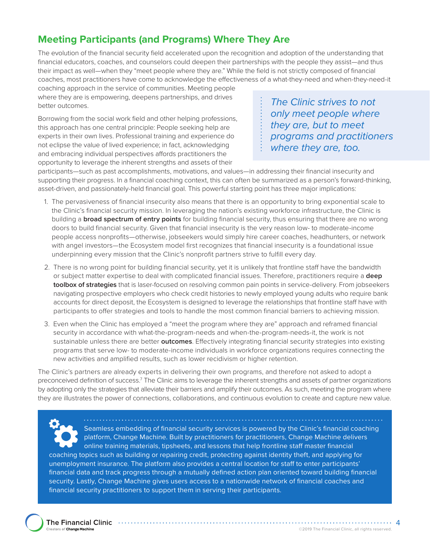### **Meeting Participants (and Programs) Where They Are**

The evolution of the financial security field accelerated upon the recognition and adoption of the understanding that financial educators, coaches, and counselors could deepen their partnerships with the people they assist—and thus their impact as well—when they "meet people where they are." While the field is not strictly composed of financial coaches, most practitioners have come to acknowledge the effectiveness of a what-they-need and when-they-need-it

coaching approach in the service of communities. Meeting people where they are is empowering, deepens partnerships, and drives better outcomes.

Borrowing from the social work field and other helping professions, this approach has one central principle: People seeking help are experts in their own lives. Professional training and experience do not eclipse the value of lived experience; in fact, acknowledging and embracing individual perspectives affords practitioners the opportunity to leverage the inherent strengths and assets of their

*The Clinic strives to not only meet people where they are, but to meet programs and practitioners where they are, too.*

participants—such as past accomplishments, motivations, and values—in addressing their financial insecurity and supporting their progress. In a financial coaching context, this can often be summarized as a person's forward-thinking, asset-driven, and passionately-held financial goal. This powerful starting point has three major implications:

- 1. The pervasiveness of financial insecurity also means that there is an opportunity to bring exponential scale to the Clinic's financial security mission. In leveraging the nation's existing workforce infrastructure, the Clinic is building a **broad spectrum of entry points** for building financial security, thus ensuring that there are no wrong doors to build financial security. Given that financial insecurity is the very reason low- to moderate-income people access nonprofits—otherwise, jobseekers would simply hire career coaches, headhunters, or network with angel investors—the Ecosystem model first recognizes that financial insecurity is a foundational issue underpinning every mission that the Clinic's nonprofit partners strive to fulfill every day.
- 2. There is no wrong point for building financial security, yet it is unlikely that frontline staff have the bandwidth or subject matter expertise to deal with complicated financial issues. Therefore, practitioners require a **deep toolbox of strategies** that is laser-focused on resolving common pain points in service-delivery. From jobseekers navigating prospective employers who check credit histories to newly employed young adults who require bank accounts for direct deposit, the Ecosystem is designed to leverage the relationships that frontline staff have with participants to offer strategies and tools to handle the most common financial barriers to achieving mission.
- 3. Even when the Clinic has employed a "meet the program where they are" approach and reframed financial security in accordance with what-the-program-needs and when-the-program-needs-it, the work is not sustainable unless there are better **outcomes**. Effectively integrating financial security strategies into existing programs that serve low- to moderate-income individuals in workforce organizations requires connecting the new activities and amplified results, such as lower recidivism or higher retention.

The Clinic's partners are already experts in delivering their own programs, and therefore not asked to adopt a preconceived definition of success.<sup>7</sup> The Clinic aims to leverage the inherent strengths and assets of partner organizations by adopting only the strategies that alleviate their barriers and amplify their outcomes. As such, meeting the program where they are illustrates the power of connections, collaborations, and continuous evolution to create and capture new value.

Seamless embedding of financial security services is powered by the Clinic's financial coaching platform, Change Machine. Built by practitioners for practitioners, Change Machine delivers online training materials, tipsheets, and lessons that help frontline staff master financial coaching topics such as building or repairing credit, protecting against identity theft, and applying for unemployment insurance. The platform also provides a central location for staff to enter participants' financial data and track progress through a mutually defined action plan oriented toward building financial security. Lastly, Change Machine gives users access to a nationwide network of financial coaches and financial security practitioners to support them in serving their participants.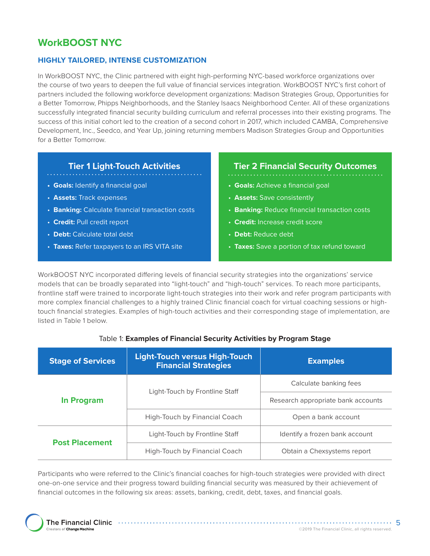### **WorkBOOST NYC**

### **HIGHLY TAILORED, INTENSE CUSTOMIZATION**

In WorkBOOST NYC, the Clinic partnered with eight high-performing NYC-based workforce organizations over the course of two years to deepen the full value of financial services integration. WorkBOOST NYC's first cohort of partners included the following workforce development organizations: Madison Strategies Group, Opportunities for a Better Tomorrow, Phipps Neighborhoods, and the Stanley Isaacs Neighborhood Center. All of these organizations successfully integrated financial security building curriculum and referral processes into their existing programs. The success of this initial cohort led to the creation of a second cohort in 2017, which included CAMBA, Comprehensive Development, Inc., Seedco, and Year Up, joining returning members Madison Strategies Group and Opportunities for a Better Tomorrow.

### **Tier 1 Light-Touch Activities**

- 
- **Goals:** Identify a financial goal
- **Assets:** Track expenses
- **Banking:** Calculate financial transaction costs
- **Credit:** Pull credit report
- **Debt:** Calculate total debt
- **Taxes:** Refer taxpayers to an IRS VITA site

### **Tier 2 Financial Security Outcomes**

- . . . . . . . . . . . . . . . . . . .
- **Goals:** Achieve a financial goal
- **Assets:** Save consistently
- **Banking:** Reduce financial transaction costs
- **Credit:** Increase credit score
- **Debt:** Reduce debt
- **Taxes:** Save a portion of tax refund toward

WorkBOOST NYC incorporated differing levels of financial security strategies into the organizations' service models that can be broadly separated into "light-touch" and "high-touch" services. To reach more participants, frontline staff were trained to incorporate light-touch strategies into their work and refer program participants with more complex financial challenges to a highly trained Clinic financial coach for virtual coaching sessions or hightouch financial strategies. Examples of high-touch activities and their corresponding stage of implementation, are listed in Table 1 below.

### Table 1: **Examples of Financial Security Activities by Program Stage**

| <b>Stage of Services</b> | <b>Light-Touch versus High-Touch</b><br><b>Financial Strategies</b> | <b>Examples</b>                    |
|--------------------------|---------------------------------------------------------------------|------------------------------------|
|                          | Light-Touch by Frontline Staff                                      | Calculate banking fees             |
| In Program               |                                                                     | Research appropriate bank accounts |
|                          | High-Touch by Financial Coach                                       | Open a bank account                |
| <b>Post Placement</b>    | Light-Touch by Frontline Staff                                      | Identify a frozen bank account     |
|                          | High-Touch by Financial Coach                                       | Obtain a Chexsystems report        |

Participants who were referred to the Clinic's financial coaches for high-touch strategies were provided with direct one-on-one service and their progress toward building financial security was measured by their achievement of financial outcomes in the following six areas: assets, banking, credit, debt, taxes, and financial goals.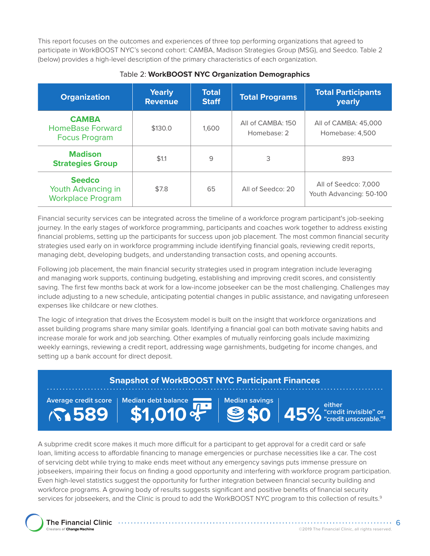This report focuses on the outcomes and experiences of three top performing organizations that agreed to participate in WorkBOOST NYC's second cohort: CAMBA, Madison Strategies Group (MSG), and Seedco. Table 2 (below) provides a high-level description of the primary characteristics of each organization.

| <b>Organization</b>                                             | <b>Yearly</b><br><b>Revenue</b> | Total<br><b>Staff</b> | <b>Total Programs</b>            | <b>Total Participants</b><br>yearly             |
|-----------------------------------------------------------------|---------------------------------|-----------------------|----------------------------------|-------------------------------------------------|
| <b>CAMBA</b><br><b>HomeBase Forward</b><br><b>Focus Program</b> | \$130.0                         | 1.600                 | All of CAMBA: 150<br>Homebase: 2 | All of CAMBA: 45,000<br>Homebase: 4.500         |
| <b>Madison</b><br><b>Strategies Group</b>                       | \$1.1                           | 9                     | 3                                | 893                                             |
| <b>Seedco</b><br>Youth Advancing in<br><b>Workplace Program</b> | \$7.8                           | 65                    | All of Seedco: 20                | All of Seedco: 7,000<br>Youth Advancing: 50-100 |

### Table 2: **WorkBOOST NYC Organization Demographics**

Financial security services can be integrated across the timeline of a workforce program participant's job-seeking journey. In the early stages of workforce programming, participants and coaches work together to address existing financial problems, setting up the participants for success upon job placement. The most common financial security strategies used early on in workforce programming include identifying financial goals, reviewing credit reports, managing debt, developing budgets, and understanding transaction costs, and opening accounts.

Following job placement, the main financial security strategies used in program integration include leveraging and managing work supports, continuing budgeting, establishing and improving credit scores, and consistently saving. The first few months back at work for a low-income jobseeker can be the most challenging. Challenges may include adjusting to a new schedule, anticipating potential changes in public assistance, and navigating unforeseen expenses like childcare or new clothes.

The logic of integration that drives the Ecosystem model is built on the insight that workforce organizations and asset building programs share many similar goals. Identifying a financial goal can both motivate saving habits and increase morale for work and job searching. Other examples of mutually reinforcing goals include maximizing weekly earnings, reviewing a credit report, addressing wage garnishments, budgeting for income changes, and setting up a bank account for direct deposit.

#### **Snapshot of WorkBOOST NYC Participant Finances Average credit score 589 either Median debt balance \$1,010 Median savings \$0**

**"credit invisible" or "credit unscorable."8 45%** 

A subprime credit score makes it much more difficult for a participant to get approval for a credit card or safe loan, limiting access to affordable financing to manage emergencies or purchase necessities like a car. The cost of servicing debt while trying to make ends meet without any emergency savings puts immense pressure on jobseekers, impairing their focus on finding a good opportunity and interfering with workforce program participation. Even high-level statistics suggest the opportunity for further integration between financial security building and workforce programs. A growing body of results suggests significant and positive benefits of financial security services for jobseekers, and the Clinic is proud to add the WorkBOOST NYC program to this collection of results.<sup>9</sup>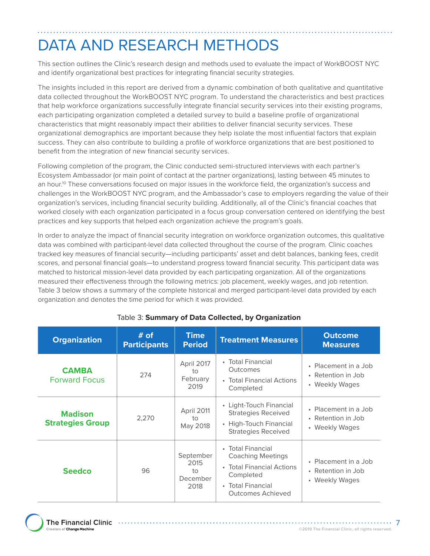# DATA AND RESEARCH METHODS

This section outlines the Clinic's research design and methods used to evaluate the impact of WorkBOOST NYC and identify organizational best practices for integrating financial security strategies.

The insights included in this report are derived from a dynamic combination of both qualitative and quantitative data collected throughout the WorkBOOST NYC program. To understand the characteristics and best practices that help workforce organizations successfully integrate financial security services into their existing programs, each participating organization completed a detailed survey to build a baseline profile of organizational characteristics that might reasonably impact their abilities to deliver financial security services. These organizational demographics are important because they help isolate the most influential factors that explain success. They can also contribute to building a profile of workforce organizations that are best positioned to benefit from the integration of new financial security services.

Following completion of the program, the Clinic conducted semi-structured interviews with each partner's Ecosystem Ambassador (or main point of contact at the partner organizations), lasting between 45 minutes to an hour.<sup>10</sup> These conversations focused on major issues in the workforce field, the organization's success and challenges in the WorkBOOST NYC program, and the Ambassador's case to employers regarding the value of their organization's services, including financial security building. Additionally, all of the Clinic's financial coaches that worked closely with each organization participated in a focus group conversation centered on identifying the best practices and key supports that helped each organization achieve the program's goals.

In order to analyze the impact of financial security integration on workforce organization outcomes, this qualitative data was combined with participant-level data collected throughout the course of the program. Clinic coaches tracked key measures of financial security—including participants' asset and debt balances, banking fees, credit scores, and personal financial goals—to understand progress toward financial security. This participant data was matched to historical mission-level data provided by each participating organization. All of the organizations measured their effectiveness through the following metrics: job placement, weekly wages, and job retention. Table 3 below shows a summary of the complete historical and merged participant-level data provided by each organization and denotes the time period for which it was provided.

| <b>Organization</b>                       | # of<br><b>Participants</b> | <b>Time</b><br><b>Period</b>                             | <b>Treatment Measures</b>                                                                                                         | <b>Outcome</b><br><b>Measures</b>                            |
|-------------------------------------------|-----------------------------|----------------------------------------------------------|-----------------------------------------------------------------------------------------------------------------------------------|--------------------------------------------------------------|
| <b>CAMBA</b><br><b>Forward Focus</b>      | 274                         | April 2017<br>tο<br>February<br>2019                     | • Total Financial<br>Outcomes<br>• Total Financial Actions<br>Completed                                                           | • Placement in a Job<br>• Retention in Job<br>• Weekly Wages |
| <b>Madison</b><br><b>Strategies Group</b> | 2,270                       | April 2011<br>to<br>May 2018                             | • Light-Touch Financial<br><b>Strategies Received</b><br>• High-Touch Financial<br><b>Strategies Received</b>                     | • Placement in a Job<br>• Retention in Job<br>• Weekly Wages |
| <b>Seedco</b>                             | 96                          | September<br>2015<br>$\overline{10}$<br>December<br>2018 | • Total Financial<br><b>Coaching Meetings</b><br>• Total Financial Actions<br>Completed<br>• Total Financial<br>Outcomes Achieved | • Placement in a Job<br>• Retention in Job<br>• Weekly Wages |

### Table 3: **Summary of Data Collected, by Organization**

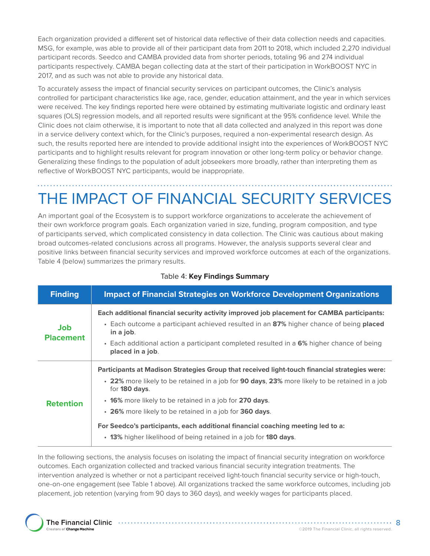Each organization provided a different set of historical data reflective of their data collection needs and capacities. MSG, for example, was able to provide all of their participant data from 2011 to 2018, which included 2,270 individual participant records. Seedco and CAMBA provided data from shorter periods, totaling 96 and 274 individual participants respectively. CAMBA began collecting data at the start of their participation in WorkBOOST NYC in 2017, and as such was not able to provide any historical data.

To accurately assess the impact of financial security services on participant outcomes, the Clinic's analysis controlled for participant characteristics like age, race, gender, education attainment, and the year in which services were received. The key findings reported here were obtained by estimating multivariate logistic and ordinary least squares (OLS) regression models, and all reported results were significant at the 95% confidence level. While the Clinic does not claim otherwise, it is important to note that all data collected and analyzed in this report was done in a service delivery context which, for the Clinic's purposes, required a non-experimental research design. As such, the results reported here are intended to provide additional insight into the experiences of WorkBOOST NYC participants and to highlight results relevant for program innovation or other long-term policy or behavior change. Generalizing these findings to the population of adult jobseekers more broadly, rather than interpreting them as reflective of WorkBOOST NYC participants, would be inappropriate.

# THE IMPACT OF FINANCIAL SECURITY SERVICES

An important goal of the Ecosystem is to support workforce organizations to accelerate the achievement of their own workforce program goals. Each organization varied in size, funding, program composition, and type of participants served, which complicated consistency in data collection. The Clinic was cautious about making broad outcomes-related conclusions across all programs. However, the analysis supports several clear and positive links between financial security services and improved workforce outcomes at each of the organizations. Table 4 (below) summarizes the primary results.

| <b>Finding</b>                 | <b>Impact of Financial Strategies on Workforce Development Organizations</b>                                                                                                                                                                                                                                                                                                                                                                                                                          |
|--------------------------------|-------------------------------------------------------------------------------------------------------------------------------------------------------------------------------------------------------------------------------------------------------------------------------------------------------------------------------------------------------------------------------------------------------------------------------------------------------------------------------------------------------|
| <b>Job</b><br><b>Placement</b> | Each additional financial security activity improved job placement for CAMBA participants:<br>• Each outcome a participant achieved resulted in an 87% higher chance of being placed<br>in a job.<br>• Each additional action a participant completed resulted in a 6% higher chance of being<br>placed in a job.                                                                                                                                                                                     |
| <b>Retention</b>               | Participants at Madison Strategies Group that received light-touch financial strategies were:<br>• 22% more likely to be retained in a job for 90 days, 23% more likely to be retained in a job<br>for <b>180 days</b> .<br>• 16% more likely to be retained in a job for 270 days.<br>• 26% more likely to be retained in a job for 360 days.<br>For Seedco's participants, each additional financial coaching meeting led to a:<br>• 13% higher likelihood of being retained in a job for 180 days. |

### Table 4: **Key Findings Summary**

In the following sections, the analysis focuses on isolating the impact of financial security integration on workforce outcomes. Each organization collected and tracked various financial security integration treatments. The intervention analyzed is whether or not a participant received light-touch financial security service or high-touch, one-on-one engagement (see Table 1 above). All organizations tracked the same workforce outcomes, including job placement, job retention (varying from 90 days to 360 days), and weekly wages for participants placed.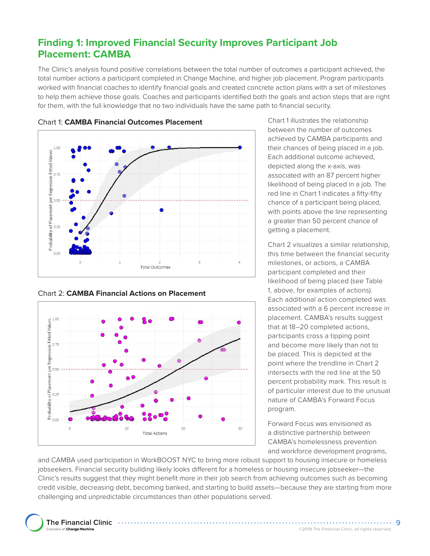### **Finding 1: Improved Financial Security Improves Participant Job Placement: CAMBA**

The Clinic's analysis found positive correlations between the total number of outcomes a participant achieved, the total number actions a participant completed in Change Machine, and higher job placement. Program participants worked with financial coaches to identify financial goals and created concrete action plans with a set of milestones to help them achieve those goals. Coaches and participants identified both the goals and action steps that are right for them, with the full knowledge that no two individuals have the same path to financial security.



Chart 1: **CAMBA Financial Outcomes Placement** 

Chart 2: **CAMBA Financial Actions on Placement** 



Chart 1 illustrates the relationship between the number of outcomes achieved by CAMBA participants and their chances of being placed in a job. Each additional outcome achieved, depicted along the x-axis, was associated with an 87 percent higher likelihood of being placed in a job. The red line in Chart 1 indicates a fifty-fifty chance of a participant being placed, with points above the line representing a greater than 50 percent chance of getting a placement.

Chart 2 visualizes a similar relationship, this time between the financial security milestones, or actions, a CAMBA participant completed and their likelihood of being placed (see Table 1, above, for examples of actions). Each additional action completed was associated with a 6 percent increase in placement. CAMBA's results suggest that at 18–20 completed actions, participants cross a tipping point and become more likely than not to be placed. This is depicted at the point where the trendline in Chart 2 intersects with the red line at the 50 percent probability mark. This result is of particular interest due to the unusual nature of CAMBA's Forward Focus program.

Forward Focus was envisioned as a distinctive partnership between CAMBA's homelessness prevention and workforce development programs,

and CAMBA used participation in WorkBOOST NYC to bring more robust support to housing insecure or homeless jobseekers. Financial security building likely looks different for a homeless or housing insecure jobseeker—the Clinic's results suggest that they might benefit more in their job search from achieving outcomes such as becoming credit visible, decreasing debt, becoming banked, and starting to build assets—because they are starting from more challenging and unpredictable circumstances than other populations served.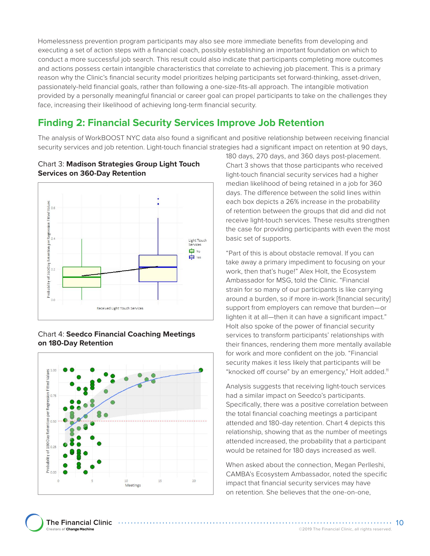Homelessness prevention program participants may also see more immediate benefits from developing and executing a set of action steps with a financial coach, possibly establishing an important foundation on which to conduct a more successful job search. This result could also indicate that participants completing more outcomes and actions possess certain intangible characteristics that correlate to achieving job placement. This is a primary reason why the Clinic's financial security model prioritizes helping participants set forward-thinking, asset-driven, passionately-held financial goals, rather than following a one-size-fits-all approach. The intangible motivation provided by a personally meaningful financial or career goal can propel participants to take on the challenges they face, increasing their likelihood of achieving long-term financial security.

### **Finding 2: Financial Security Services Improve Job Retention**

The analysis of WorkBOOST NYC data also found a significant and positive relationship between receiving financial security services and job retention. Light-touch financial strategies had a significant impact on retention at 90 days,



### Chart 3: **Madison Strategies Group Light Touch Services on 360-Day Retention**

### Chart 4: **Seedco Financial Coaching Meetings on 180-Day Retention**



180 days, 270 days, and 360 days post-placement. Chart 3 shows that those participants who received light-touch financial security services had a higher median likelihood of being retained in a job for 360 days. The difference between the solid lines within each box depicts a 26% increase in the probability of retention between the groups that did and did not receive light-touch services. These results strengthen the case for providing participants with even the most basic set of supports.

"Part of this is about obstacle removal. If you can take away a primary impediment to focusing on your work, then that's huge!" Alex Holt, the Ecosystem Ambassador for MSG, told the Clinic. "Financial strain for so many of our participants is like carrying around a burden, so if more in-work [financial security] support from employers can remove that burden—or lighten it at all—then it can have a significant impact." Holt also spoke of the power of financial security services to transform participants' relationships with their finances, rendering them more mentally available for work and more confident on the job. "Financial security makes it less likely that participants will be "knocked off course" by an emergency," Holt added.<sup>11</sup>

Analysis suggests that receiving light-touch services had a similar impact on Seedco's participants. Specifically, there was a positive correlation between the total financial coaching meetings a participant attended and 180-day retention. Chart 4 depicts this relationship, showing that as the number of meetings attended increased, the probability that a participant would be retained for 180 days increased as well.

When asked about the connection, Megan Perlleshi, CAMBA's Ecosystem Ambassador, noted the specific impact that financial security services may have on retention. She believes that the one-on-one,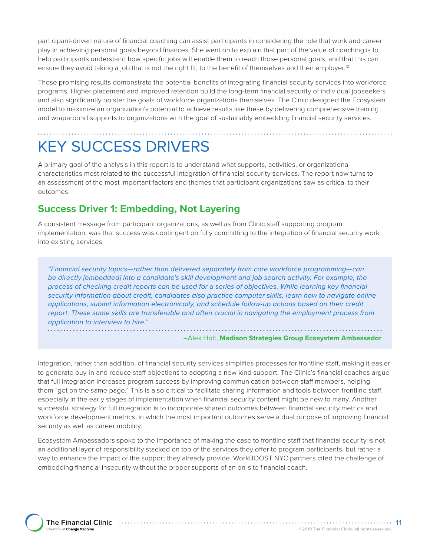participant-driven nature of financial coaching can assist participants in considering the role that work and career play in achieving personal goals beyond finances. She went on to explain that part of the value of coaching is to help participants understand how specific jobs will enable them to reach those personal goals, and that this can ensure they avoid taking a job that is not the right fit, to the benefit of themselves and their employer.<sup>12</sup>

These promising results demonstrate the potential benefits of integrating financial security services into workforce programs. Higher placement and improved retention build the long-term financial security of individual jobseekers and also significantly bolster the goals of workforce organizations themselves. The Clinic designed the Ecosystem model to maximize an organization's potential to achieve results like these by delivering comprehensive training and wraparound supports to organizations with the goal of sustainably embedding financial security services.

# KEY SUCCESS DRIVERS

A primary goal of the analysis in this report is to understand what supports, activities, or organizational characteristics most related to the successful integration of financial security services. The report now turns to an assessment of the most important factors and themes that participant organizations saw as critical to their outcomes.

### **Success Driver 1: Embedding, Not Layering**

A consistent message from participant organizations, as well as from Clinic staff supporting program implementation, was that success was contingent on fully committing to the integration of financial security work into existing services.

*"Financial security topics—rather than delivered separately from core workforce programming—can be directly [embedded] into a candidate's skill development and job search activity. For example, the process of checking credit reports can be used for a series of objectives. While learning key financial security information about credit, candidates also practice computer skills, learn how to navigate online applications, submit information electronically, and schedule follow-up actions based on their credit report. These same skills are transferable and often crucial in navigating the employment process from application to interview to hire."* 

–Alex Holt, **Madison Strategies Group Ecosystem Ambassador** 

Integration, rather than addition, of financial security services simplifies processes for frontline staff, making it easier to generate buy-in and reduce staff objections to adopting a new kind support. The Clinic's financial coaches argue that full integration increases program success by improving communication between staff members, helping them "get on the same page." This is also critical to facilitate sharing information and tools between frontline staff, especially in the early stages of implementation when financial security content might be new to many. Another successful strategy for full integration is to incorporate shared outcomes between financial security metrics and workforce development metrics, in which the most important outcomes serve a dual purpose of improving financial security as well as career mobility.

Ecosystem Ambassadors spoke to the importance of making the case to frontline staff that financial security is not an additional layer of responsibility stacked on top of the services they offer to program participants, but rather a way to enhance the impact of the support they already provide. WorkBOOST NYC partners cited the challenge of embedding financial insecurity without the proper supports of an on-site financial coach.

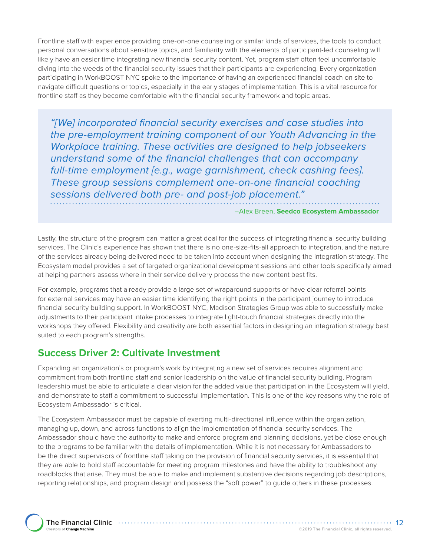Frontline staff with experience providing one-on-one counseling or similar kinds of services, the tools to conduct personal conversations about sensitive topics, and familiarity with the elements of participant-led counseling will likely have an easier time integrating new financial security content. Yet, program staff often feel uncomfortable diving into the weeds of the financial security issues that their participants are experiencing. Every organization participating in WorkBOOST NYC spoke to the importance of having an experienced financial coach on site to navigate difficult questions or topics, especially in the early stages of implementation. This is a vital resource for frontline staff as they become comfortable with the financial security framework and topic areas.

*"[We] incorporated financial security exercises and case studies into the pre-employment training component of our Youth Advancing in the Workplace training. These activities are designed to help jobseekers understand some of the financial challenges that can accompany full-time employment [e.g., wage garnishment, check cashing fees]. These group sessions complement one-on-one financial coaching sessions delivered both pre- and post-job placement."* 

–Alex Breen, **Seedco Ecosystem Ambassador** 

Lastly, the structure of the program can matter a great deal for the success of integrating financial security building services. The Clinic's experience has shown that there is no one-size-fits-all approach to integration, and the nature of the services already being delivered need to be taken into account when designing the integration strategy. The Ecosystem model provides a set of targeted organizational development sessions and other tools specifically aimed at helping partners assess where in their service delivery process the new content best fits.

For example, programs that already provide a large set of wraparound supports or have clear referral points for external services may have an easier time identifying the right points in the participant journey to introduce financial security building support. In WorkBOOST NYC, Madison Strategies Group was able to successfully make adjustments to their participant intake processes to integrate light-touch financial strategies directly into the workshops they offered. Flexibility and creativity are both essential factors in designing an integration strategy best suited to each program's strengths.

### **Success Driver 2: Cultivate Investment**

Expanding an organization's or program's work by integrating a new set of services requires alignment and commitment from both frontline staff and senior leadership on the value of financial security building. Program leadership must be able to articulate a clear vision for the added value that participation in the Ecosystem will yield, and demonstrate to staff a commitment to successful implementation. This is one of the key reasons why the role of Ecosystem Ambassador is critical.

The Ecosystem Ambassador must be capable of exerting multi-directional influence within the organization, managing up, down, and across functions to align the implementation of financial security services. The Ambassador should have the authority to make and enforce program and planning decisions, yet be close enough to the programs to be familiar with the details of implementation. While it is not necessary for Ambassadors to be the direct supervisors of frontline staff taking on the provision of financial security services, it is essential that they are able to hold staff accountable for meeting program milestones and have the ability to troubleshoot any roadblocks that arise. They must be able to make and implement substantive decisions regarding job descriptions, reporting relationships, and program design and possess the "soft power" to guide others in these processes.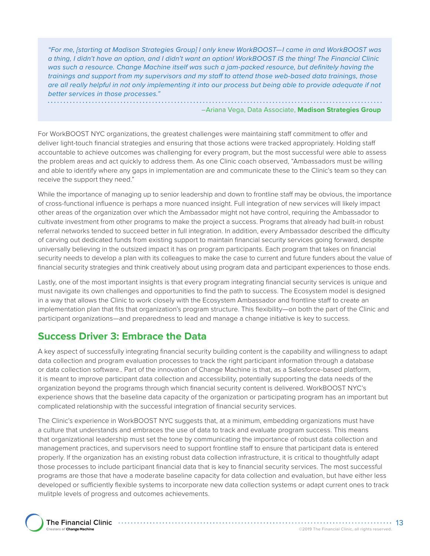*"For me, [starting at Madison Strategies Group] I only knew WorkBOOST—I came in and WorkBOOST was a thing, I didn't have an option, and I didn't want an option! WorkBOOST IS the thing! The Financial Clinic was such a resource. Change Machine itself was such a jam-packed resource, but definitely having the trainings and support from my supervisors and my staff to attend those web-based data trainings, those are all really helpful in not only implementing it into our process but being able to provide adequate if not better services in those processes."* 

–Ariana Vega, Data Associate, **Madison Strategies Group** 

For WorkBOOST NYC organizations, the greatest challenges were maintaining staff commitment to offer and deliver light-touch financial strategies and ensuring that those actions were tracked appropriately. Holding staff accountable to achieve outcomes was challenging for every program, but the most successful were able to assess the problem areas and act quickly to address them. As one Clinic coach observed, "Ambassadors must be willing and able to identify where any gaps in implementation are and communicate these to the Clinic's team so they can receive the support they need."

While the importance of managing up to senior leadership and down to frontline staff may be obvious, the importance of cross-functional influence is perhaps a more nuanced insight. Full integration of new services will likely impact other areas of the organization over which the Ambassador might not have control, requiring the Ambassador to cultivate investment from other programs to make the project a success. Programs that already had built-in robust referral networks tended to succeed better in full integration. In addition, every Ambassador described the difficulty of carving out dedicated funds from existing support to maintain financial security services going forward, despite universally believing in the outsized impact it has on program participants. Each program that takes on financial security needs to develop a plan with its colleagues to make the case to current and future funders about the value of financial security strategies and think creatively about using program data and participant experiences to those ends.

Lastly, one of the most important insights is that every program integrating financial security services is unique and must navigate its own challenges and opportunities to find the path to success. The Ecosystem model is designed in a way that allows the Clinic to work closely with the Ecosystem Ambassador and frontline staff to create an implementation plan that fits that organization's program structure. This flexibility—on both the part of the Clinic and participant organizations—and preparedness to lead and manage a change initiative is key to success.

### **Success Driver 3: Embrace the Data**

A key aspect of successfully integrating financial security building content is the capability and willingness to adapt data collection and program evaluation processes to track the right participant information through a database or data collection software.. Part of the innovation of Change Machine is that, as a Salesforce-based platform, it is meant to improve participant data collection and accessibility, potentially supporting the data needs of the organization beyond the programs through which financial security content is delivered. WorkBOOST NYC's experience shows that the baseline data capacity of the organization or participating program has an important but complicated relationship with the successful integration of financial security services.

The Clinic's experience in WorkBOOST NYC suggests that, at a minimum, embedding organizations must have a culture that understands and embraces the use of data to track and evaluate program success. This means that organizational leadership must set the tone by communicating the importance of robust data collection and management practices, and supervisors need to support frontline staff to ensure that participant data is entered properly. If the organization has an existing robust data collection infrastructure, it is critical to thoughtfully adapt those processes to include participant financial data that is key to financial security services. The most successful programs are those that have a moderate baseline capacity for data collection and evaluation, but have either less developed or sufficiently flexible systems to incorporate new data collection systems or adapt current ones to track mulitple levels of progress and outcomes achievements.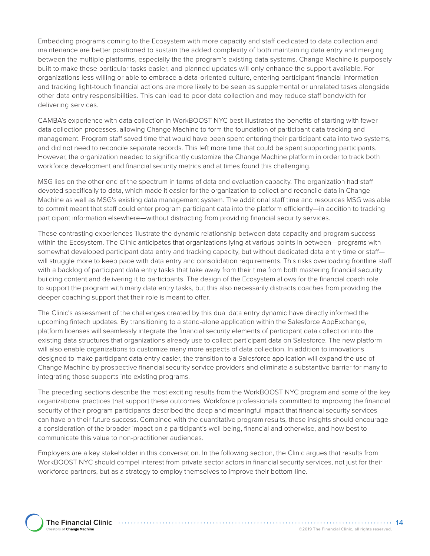Embedding programs coming to the Ecosystem with more capacity and staff dedicated to data collection and maintenance are better positioned to sustain the added complexity of both maintaining data entry and merging between the multiple platforms, especially the the program's existing data systems. Change Machine is purposely built to make these particular tasks easier, and planned updates will only enhance the support available. For organizations less willing or able to embrace a data-oriented culture, entering participant financial information and tracking light-touch financial actions are more likely to be seen as supplemental or unrelated tasks alongside other data entry responsibilities. This can lead to poor data collection and may reduce staff bandwidth for delivering services.

CAMBA's experience with data collection in WorkBOOST NYC best illustrates the benefits of starting with fewer data collection processes, allowing Change Machine to form the foundation of participant data tracking and management. Program staff saved time that would have been spent entering their participant data into two systems, and did not need to reconcile separate records. This left more time that could be spent supporting participants. However, the organization needed to significantly customize the Change Machine platform in order to track both workforce development and financial security metrics and at times found this challenging.

MSG lies on the other end of the spectrum in terms of data and evaluation capacity. The organization had staff devoted specifically to data, which made it easier for the organization to collect and reconcile data in Change Machine as well as MSG's existing data management system. The additional staff time and resources MSG was able to commit meant that staff could enter program participant data into the platform efficiently—in addition to tracking participant information elsewhere—without distracting from providing financial security services.

These contrasting experiences illustrate the dynamic relationship between data capacity and program success within the Ecosystem. The Clinic anticipates that organizations lying at various points in between—programs with somewhat developed participant data entry and tracking capacity, but without dedicated data entry time or staffwill struggle more to keep pace with data entry and consolidation requirements. This risks overloading frontline staff with a backlog of participant data entry tasks that take away from their time from both mastering financial security building content and delivering it to participants. The design of the Ecosystem allows for the financial coach role to support the program with many data entry tasks, but this also necessarily distracts coaches from providing the deeper coaching support that their role is meant to offer.

The Clinic's assessment of the challenges created by this dual data entry dynamic have directly informed the upcoming fintech updates. By transitioning to a stand-alone application within the Salesforce AppExchange, platform licenses will seamlessly integrate the financial security elements of participant data collection into the existing data structures that organizations already use to collect participant data on Salesforce. The new platform will also enable organizations to customize many more aspects of data collection. In addition to innovations designed to make participant data entry easier, the transition to a Salesforce application will expand the use of Change Machine by prospective financial security service providers and eliminate a substantive barrier for many to integrating those supports into existing programs.

The preceding sections describe the most exciting results from the WorkBOOST NYC program and some of the key organizational practices that support these outcomes. Workforce professionals committed to improving the financial security of their program participants described the deep and meaningful impact that financial security services can have on their future success. Combined with the quantitative program results, these insights should encourage a consideration of the broader impact on a participant's well-being, financial and otherwise, and how best to communicate this value to non-practitioner audiences.

Employers are a key stakeholder in this conversation. In the following section, the Clinic argues that results from WorkBOOST NYC should compel interest from private sector actors in financial security services, not just for their workforce partners, but as a strategy to employ themselves to improve their bottom-line.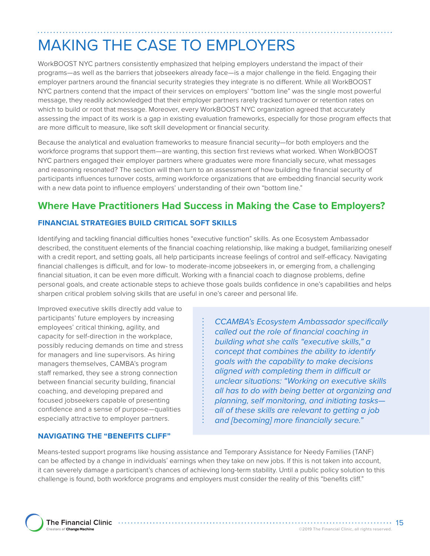# MAKING THE CASE TO EMPLOYERS

WorkBOOST NYC partners consistently emphasized that helping employers understand the impact of their programs—as well as the barriers that jobseekers already face—is a major challenge in the field. Engaging their employer partners around the financial security strategies they integrate is no different. While all WorkBOOST NYC partners contend that the impact of their services on employers' "bottom line" was the single most powerful message, they readily acknowledged that their employer partners rarely tracked turnover or retention rates on which to build or root that message. Moreover, every WorkBOOST NYC organization agreed that accurately assessing the impact of its work is a gap in existing evaluation frameworks, especially for those program effects that are more difficult to measure, like soft skill development or financial security.

Because the analytical and evaluation frameworks to measure financial security—for both employers and the workforce programs that support them—are wanting, this section first reviews what worked. When WorkBOOST NYC partners engaged their employer partners where graduates were more financially secure, what messages and reasoning resonated? The section will then turn to an assessment of how building the financial security of participants influences turnover costs, arming workforce organizations that are embedding financial security work with a new data point to influence employers' understanding of their own "bottom line."

### **Where Have Practitioners Had Success in Making the Case to Employers?**

### **FINANCIAL STRATEGIES BUILD CRITICAL SOFT SKILLS**

Identifying and tackling financial difficulties hones "executive function" skills. As one Ecosystem Ambassador described, the constituent elements of the financial coaching relationship, like making a budget, familiarizing oneself with a credit report, and setting goals, all help participants increase feelings of control and self-efficacy. Navigating financial challenges is difficult, and for low- to moderate-income jobseekers in, or emerging from, a challenging financial situation, it can be even more difficult. Working with a financial coach to diagnose problems, define personal goals, and create actionable steps to achieve those goals builds confidence in one's capabilities and helps sharpen critical problem solving skills that are useful in one's career and personal life.

Improved executive skills directly add value to participants' future employers by increasing employees' critical thinking, agility, and capacity for self-direction in the workplace, possibly reducing demands on time and stress for managers and line supervisors. As hiring managers themselves, CAMBA's program staff remarked, they see a strong connection between financial security building, financial coaching, and developing prepared and focused jobseekers capable of presenting confidence and a sense of purpose—qualities especially attractive to employer partners.

### **NAVIGATING THE "BENEFITS CLIFF"**

*CCAMBA's Ecosystem Ambassador specifically called out the role of financial coaching in building what she calls "executive skills," a concept that combines the ability to identify goals with the capability to make decisions aligned with completing them in difficult or unclear situations: "Working on executive skills all has to do with being better at organizing and planning, self monitoring, and initiating tasks all of these skills are relevant to getting a job and [becoming] more financially secure."*

Means-tested support programs like housing assistance and Temporary Assistance for Needy Families (TANF) can be affected by a change in individuals' earnings when they take on new jobs. If this is not taken into account, it can severely damage a participant's chances of achieving long-term stability. Until a public policy solution to this challenge is found, both workforce programs and employers must consider the reality of this "benefits cliff."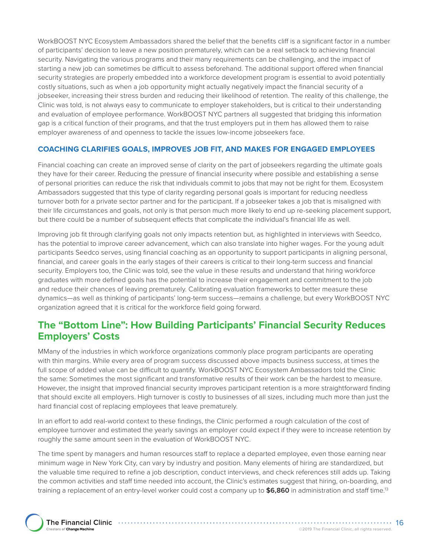WorkBOOST NYC Ecosystem Ambassadors shared the belief that the benefits cliff is a significant factor in a number of participants' decision to leave a new position prematurely, which can be a real setback to achieving financial security. Navigating the various programs and their many requirements can be challenging, and the impact of starting a new job can sometimes be difficult to assess beforehand. The additional support offered when financial security strategies are properly embedded into a workforce development program is essential to avoid potentially costly situations, such as when a job opportunity might actually negatively impact the financial security of a jobseeker, increasing their stress burden and reducing their likelihood of retention. The reality of this challenge, the Clinic was told, is not always easy to communicate to employer stakeholders, but is critical to their understanding and evaluation of employee performance. WorkBOOST NYC partners all suggested that bridging this information gap is a critical function of their programs, and that the trust employers put in them has allowed them to raise employer awareness of and openness to tackle the issues low-income jobseekers face.

### **COACHING CLARIFIES GOALS, IMPROVES JOB FIT, AND MAKES FOR ENGAGED EMPLOYEES**

Financial coaching can create an improved sense of clarity on the part of jobseekers regarding the ultimate goals they have for their career. Reducing the pressure of financial insecurity where possible and establishing a sense of personal priorities can reduce the risk that individuals commit to jobs that may not be right for them. Ecosystem Ambassadors suggested that this type of clarity regarding personal goals is important for reducing needless turnover both for a private sector partner and for the participant. If a jobseeker takes a job that is misaligned with their life circumstances and goals, not only is that person much more likely to end up re-seeking placement support, but there could be a number of subsequent effects that complicate the individual's financial life as well.

Improving job fit through clarifying goals not only impacts retention but, as highlighted in interviews with Seedco, has the potential to improve career advancement, which can also translate into higher wages. For the young adult participants Seedco serves, using financial coaching as an opportunity to support participants in aligning personal, financial, and career goals in the early stages of their careers is critical to their long-term success and financial security. Employers too, the Clinic was told, see the value in these results and understand that hiring workforce graduates with more defined goals has the potential to increase their engagement and commitment to the job and reduce their chances of leaving prematurely. Calibrating evaluation frameworks to better measure these dynamics—as well as thinking of participants' long-term success—remains a challenge, but every WorkBOOST NYC organization agreed that it is critical for the workforce field going forward.

### **The "Bottom Line": How Building Participants' Financial Security Reduces Employers' Costs**

MMany of the industries in which workforce organizations commonly place program participants are operating with thin margins. While every area of program success discussed above impacts business success, at times the full scope of added value can be difficult to quantify. WorkBOOST NYC Ecosystem Ambassadors told the Clinic the same: Sometimes the most significant and transformative results of their work can be the hardest to measure. However, the insight that improved financial security improves participant retention is a more straightforward finding that should excite all employers. High turnover is costly to businesses of all sizes, including much more than just the hard financial cost of replacing employees that leave prematurely.

In an effort to add real-world context to these findings, the Clinic performed a rough calculation of the cost of employee turnover and estimated the yearly savings an employer could expect if they were to increase retention by roughly the same amount seen in the evaluation of WorkBOOST NYC.

The time spent by managers and human resources staff to replace a departed employee, even those earning near minimum wage in New York City, can vary by industry and position. Many elements of hiring are standardized, but the valuable time required to refine a job description, conduct interviews, and check references still adds up. Taking the common activities and staff time needed into account, the Clinic's estimates suggest that hiring, on-boarding, and training a replacement of an entry-level worker could cost a company up to **\$6,860** in administration and staff time.13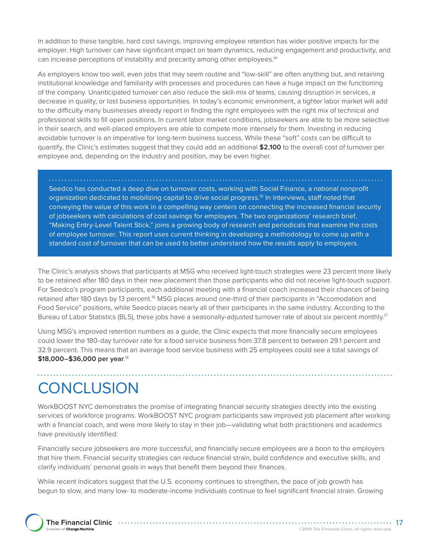In addition to these tangible, hard cost savings, improving employee retention has wider positive impacts for the employer. High turnover can have significant impact on team dynamics, reducing engagement and productivity, and can increase perceptions of instability and precarity among other employees.14

As employers know too well, even jobs that may seem routine and "low-skill" are often anything but, and retaining institutional knowledge and familiarity with processes and procedures can have a huge impact on the functioning of the company. Unanticipated turnover can also reduce the skill-mix of teams, causing disruption in services, a decrease in quality, or lost business opportunities. In today's economic environment, a tighter labor market will add to the difficulty many businesses already report in finding the right employees with the right mix of technical and professional skills to fill open positions. In current labor market conditions, jobseekers are able to be more selective in their search, and well-placed employers are able to compete more intensely for them. Investing in reducing avoidable turnover is an imperative for long-term business success. While these "soft" costs can be difficult to quantify, the Clinic's estimates suggest that they could add an additional **\$2,100** to the overall cost of turnover per employee and, depending on the industry and position, may be even higher.

Seedco has conducted a deep dive on turnover costs, working with Social Finance, a national nonprofit organization dedicated to mobilizing capital to drive social progress.15 In interviews, staff noted that conveying the value of this work in a compelling way centers on connecting the increased financial security of jobseekers with calculations of cost savings for employers. The two organizations' research brief, "Making Entry-Level Talent Stick," joins a growing body of research and periodicals that examine the costs of employee turnover. This report uses current thinking in developing a methodology to come up with a standard cost of turnover that can be used to better understand how the results apply to employers.

The Clinic's analysis shows that participants at MSG who received light-touch strategies were 23 percent more likely to be retained after 180 days in their new placement than those participants who did not receive light-touch support. For Seedco's program participants, each additional meeting with a financial coach increased their chances of being retained after 180 days by 13 percent.<sup>16</sup> MSG places around one-third of their participants in "Accomodation and Food Service" positions, while Seedco places nearly all of their participants in the same industry. According to the Bureau of Labor Statistics (BLS), these jobs have a seasonally-adjusted turnover rate of about six percent monthly.<sup>17</sup>

Using MSG's improved retention numbers as a guide, the Clinic expects that more financially secure employees could lower the 180-day turnover rate for a food service business from 37.8 percent to between 29.1 percent and 32.9 percent. This means that an average food service business with 25 employees could see a total savings of **\$18,000–\$36,000 per year**. 18

# **CONCLUSION**

WorkBOOST NYC demonstrates the promise of integrating financial security strategies directly into the existing services of workforce programs. WorkBOOST NYC program participants saw improved job placement after working with a financial coach, and were more likely to stay in their job—validating what both practitioners and academics have previously identified:

Financially secure jobseekers are more successful, and financially secure employees are a boon to the employers that hire them. Financial security strategies can reduce financial strain, build confidence and executive skills, and clarify individuals' personal goals in ways that benefit them beyond their finances.

While recent indicators suggest that the U.S. economy continues to strengthen, the pace of job growth has begun to slow, and many low- to moderate-income individuals continue to feel significant financial strain. Growing

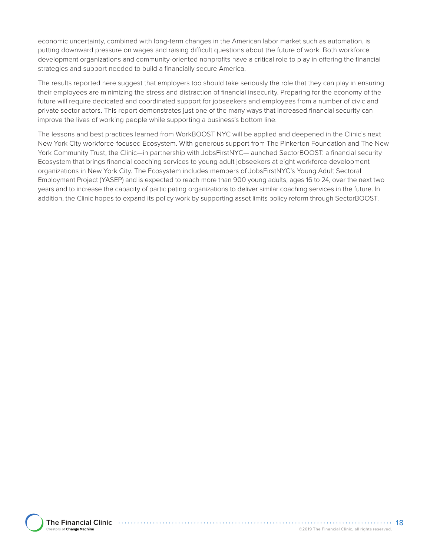economic uncertainty, combined with long-term changes in the American labor market such as automation, is putting downward pressure on wages and raising difficult questions about the future of work. Both workforce development organizations and community-oriented nonprofits have a critical role to play in offering the financial strategies and support needed to build a financially secure America.

The results reported here suggest that employers too should take seriously the role that they can play in ensuring their employees are minimizing the stress and distraction of financial insecurity. Preparing for the economy of the future will require dedicated and coordinated support for jobseekers and employees from a number of civic and private sector actors. This report demonstrates just one of the many ways that increased financial security can improve the lives of working people while supporting a business's bottom line.

The lessons and best practices learned from WorkBOOST NYC will be applied and deepened in the Clinic's next New York City workforce-focused Ecosystem. With generous support from The Pinkerton Foundation and The New York Community Trust, the Clinic—in partnership with JobsFirstNYC—launched SectorBOOST: a financial security Ecosystem that brings financial coaching services to young adult jobseekers at eight workforce development organizations in New York City. The Ecosystem includes members of JobsFirstNYC's Young Adult Sectoral Employment Project (YASEP) and is expected to reach more than 900 young adults, ages 16 to 24, over the next two years and to increase the capacity of participating organizations to deliver similar coaching services in the future. In addition, the Clinic hopes to expand its policy work by supporting asset limits policy reform through SectorBOOST.

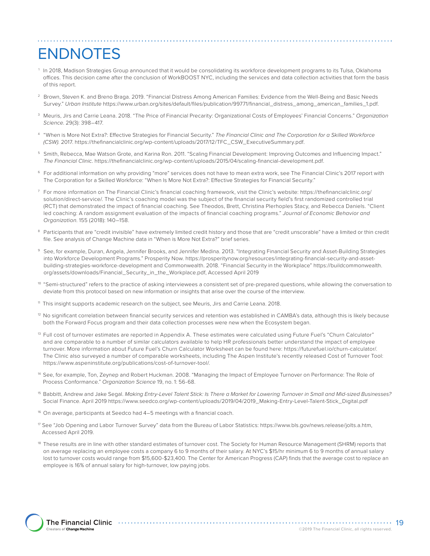# ENDNOTES

- 1 In 2018, Madison Strategies Group announced that it would be consolidating its workforce development programs to its Tulsa, Oklahoma offices. This decision came after the conclusion of WorkBOOST NYC, including the services and data collection activities that form the basis of this report.
- 2 Brown, Steven K. and Breno Braga. 2019. "Financial Distress Among American Families: Evidence from the Well-Being and Basic Needs Survey." *Urban Institute* [https://www.urban.org/sites/default/files/publication/99771/financial\\_distress\\_among\\_american\\_families\\_1.pdf.](https://www.urban.org/sites/default/files/publication/99771/financial_distress_among_american_families_1.pdf )
- 3 Meuris, Jirs and Carrie Leana. 2018. "The Price of Financial Precarity: Organizational Costs of Employees' Financial Concerns." *Organization Science*. 29(3): 398–417.
- 4 "When is More Not Extra?: Effective Strategies for Financial Security." *The Financial Clinic and The Corporation for a Skilled Workforce (CSW).* 2017. [https://thefinancialclinic.org/wp-content/uploads/2017/12/TFC\\_CSW\\_ExecutiveSummary.pdf](https://thefinancialclinic.org/wp-content/uploads/2017/12/TFC_CSW_ExecutiveSummary.pdf).
- 5 Smith, Rebecca, Mae Watson Grote, and Karina Ron. 2011. "Scaling Financial Development: Improving Outcomes and Influencing Impact." *The Financial Clinic*. <https://thefinancialclinic.org/wp-content/uploads/2015/04/scaling-financial-development.pdf>.
- 6 For additional information on why providing "more" services does not have to mean extra work, see The Financial Clinic's 2017 report with The Corporation for a Skilled Workforce: "When Is More Not Extra?: Effective Strategies for Financial Security."
- $^7\,$  For more information on The Financial Clinic's financial coaching framework, visit the Clinic's website: [https://thefinancialclinic.org/](https://thefinancialclinic.org/solution/direct-service/) [solution/direct-service/](https://thefinancialclinic.org/solution/direct-service/). The Clinic's coaching model was the subject of the financial security field's first randomized controlled trial (RCT) that demonstrated the impact of financial coaching. See Theodos, Brett, Christina Plerhoples Stacy, and Rebecca Daniels. "Client led coaching: A random assignment evaluation of the impacts of financial coaching programs." *Journal of Economic Behavior and Organization*. 155 (2018): 140–158.
- 8 Participants that are "credit invisible" have extremely limited credit history and those that are "credit unscorable" have a limited or thin credit file. See analysis of Change Machine data in "When is More Not Extra?" brief series.
- 9 See, for example, Duran, Angela, Jennifer Brooks, and Jennifer Medina. 2013. "Integrating Financial Security and Asset-Building Strategies into Workforce Development Programs." Prosperity Now. [https://prosperitynow.org/resources/integrating-financial-security-and-asset](https://prosperitynow.org/resources/integrating-financial-security-and-asset-building-strategies-workforce-development)[building-strategies-workforce-development](https://prosperitynow.org/resources/integrating-financial-security-and-asset-building-strategies-workforce-development) and Commonwealth. 2018. "Financial Security in the Workplace" [https://buildcommonwealth.](https://buildcommonwealth.org/assets/downloads/Financial_Security_in_the_Workplace.pdf) [org/assets/downloads/Financial\\_Security\\_in\\_the\\_Workplace.pdf,](https://buildcommonwealth.org/assets/downloads/Financial_Security_in_the_Workplace.pdf) Accessed April 2019
- 10 "Semi-structured" refers to the practice of asking interviewees a consistent set of pre-prepared questions, while allowing the conversation to deviate from this protocol based on new information or insights that arise over the course of the interview.
- 11 This insight supports academic research on the subject, see Meuris, Jirs and Carrie Leana. 2018.
- $12$  No significant correlation between financial security services and retention was established in CAMBA's data, although this is likely because both the Forward Focus program and their data collection processes were new when the Ecosystem began.
- <sup>13</sup> Full cost of turnover estimates are reported in Appendix A. These estimates were calculated using Future Fuel's "Churn Calculator" and are comparable to a number of similar calculators available to help HR professionals better understand the impact of employee turnover. More information about Future Fuel's Churn Calculator Worksheet can be found here: [https://futurefuel.io/churn-calculator/.](https://futurefuel.io/churn-calculator/) The Clinic also surveyed a number of comparable worksheets, including The Aspen Institute's recently released Cost of Turnover Tool: <https://www.aspeninstitute.org/publications/cost-of-turnover-tool/>.
- 14 See, for example, Ton, Zeynep and Robert Huckman. 2008. "Managing the Impact of Employee Turnover on Performance: The Role of Process Conformance." *Organization Science* 19, no. 1: 56-68.
- 15 Babbitt, Andrew and Jake Segal. *Making Entry-Level Talent Stick: Is There a Market for Lowering Turnover in Small and Mid-sized Businesses?*  Social Finance. April 2019 [https://www.seedco.org/wp-content/uploads/2019/04/2019\\_Making-Entry-Level-Talent-Stick\\_Digital.pdf](https://www.seedco.org/wp-content/uploads/2019/04/2019_Making-Entry-Level-Talent-Stick_Digital.pdf)
- <sup>16</sup> On average, participants at Seedco had 4-5 meetings with a financial coach.
- <sup>17</sup> See "Job Opening and Labor Turnover Survey" data from the Bureau of Labor Statistics: [https://www.bls.gov/news.release/jolts.a.htm,](https://www.bls.gov/news.release/jolts.a.htm) Accessed April 2019.
- 18 These results are in line with other standard estimates of turnover cost. The Society for Human Resource Management (SHRM) reports that on average replacing an employee costs a company 6 to 9 months of their salary. At NYC's \$15/hr minimum 6 to 9 months of annual salary lost to turnover costs would range from \$15,600-\$23,400. The Center for American Progress (CAP) finds that the average cost to replace an employee is 16% of annual salary for high-turnover, low paying jobs.